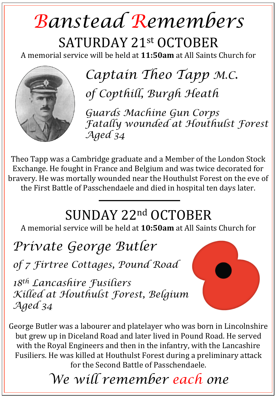# *Banstead Remembers*  SATURDAY 21st OCTOBER

A memorial service will be held at **11:50am** at All Saints Church for



*Captain Theo Tapp M.C. of Copthill, Burgh Heath* 

*Guards Machine Gun Corps Fatally wounded at Houthulst Forest Aged 34* 

Theo Tapp was a Cambridge graduate and a Member of the London Stock Exchange. He fought in France and Belgium and was twice decorated for bravery. He was mortally wounded near the Houthulst Forest on the eve of the First Battle of Passchendaele and died in hospital ten days later.

## SUNDAY 22nd OCTOBER

A memorial service will be held at **10:50am** at All Saints Church for

### *Private George Butler*

*of 7 Firtree Cottages, Pound Road* 

*18th Lancashire Fusiliers Killed at Houthulst Forest, Belgium Aged 34*

George Butler was a labourer and platelayer who was born in Lincolnshire but grew up in Diceland Road and later lived in Pound Road. He served with the Royal Engineers and then in the infantry, with the Lancashire Fusiliers. He was killed at Houthulst Forest during a preliminary attack for the Second Battle of Passchendaele.

*We will remember each one*